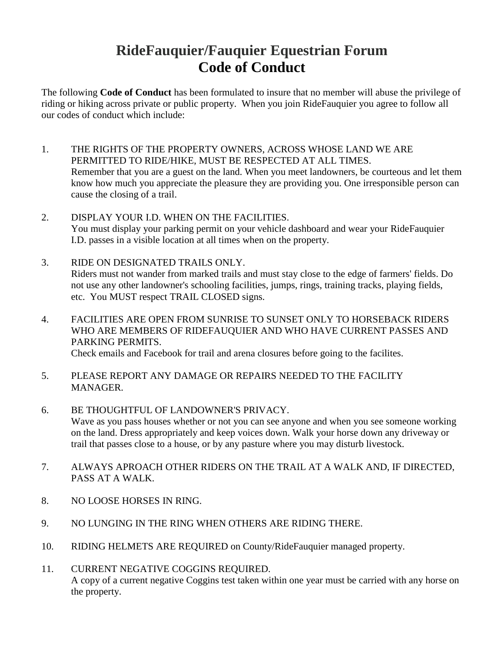## **RideFauquier/Fauquier Equestrian Forum Code of Conduct**

The following **Code of Conduct** has been formulated to insure that no member will abuse the privilege of riding or hiking across private or public property. When you join RideFauquier you agree to follow all our codes of conduct which include:

- 1. THE RIGHTS OF THE PROPERTY OWNERS, ACROSS WHOSE LAND WE ARE PERMITTED TO RIDE/HIKE, MUST BE RESPECTED AT ALL TIMES. Remember that you are a guest on the land. When you meet landowners, be courteous and let them know how much you appreciate the pleasure they are providing you. One irresponsible person can cause the closing of a trail.
- 2. DISPLAY YOUR I.D. WHEN ON THE FACILITIES. You must display your parking permit on your vehicle dashboard and wear your RideFauquier I.D. passes in a visible location at all times when on the property.
- 3. RIDE ON DESIGNATED TRAILS ONLY. Riders must not wander from marked trails and must stay close to the edge of farmers' fields. Do not use any other landowner's schooling facilities, jumps, rings, training tracks, playing fields, etc. You MUST respect TRAIL CLOSED signs.
- 4. FACILITIES ARE OPEN FROM SUNRISE TO SUNSET ONLY TO HORSEBACK RIDERS WHO ARE MEMBERS OF RIDEFAUQUIER AND WHO HAVE CURRENT PASSES AND PARKING PERMITS. Check emails and Facebook for trail and arena closures before going to the facilites.
- 5. PLEASE REPORT ANY DAMAGE OR REPAIRS NEEDED TO THE FACILITY MANAGER.
- 6. BE THOUGHTFUL OF LANDOWNER'S PRIVACY. Wave as you pass houses whether or not you can see anyone and when you see someone working on the land. Dress appropriately and keep voices down. Walk your horse down any driveway or trail that passes close to a house, or by any pasture where you may disturb livestock.
- 7. ALWAYS APROACH OTHER RIDERS ON THE TRAIL AT A WALK AND, IF DIRECTED, PASS AT A WALK.
- 8. NO LOOSE HORSES IN RING.
- 9. NO LUNGING IN THE RING WHEN OTHERS ARE RIDING THERE.
- 10. RIDING HELMETS ARE REQUIRED on County/RideFauquier managed property.
- 11. CURRENT NEGATIVE COGGINS REQUIRED. A copy of a current negative Coggins test taken within one year must be carried with any horse on the property.